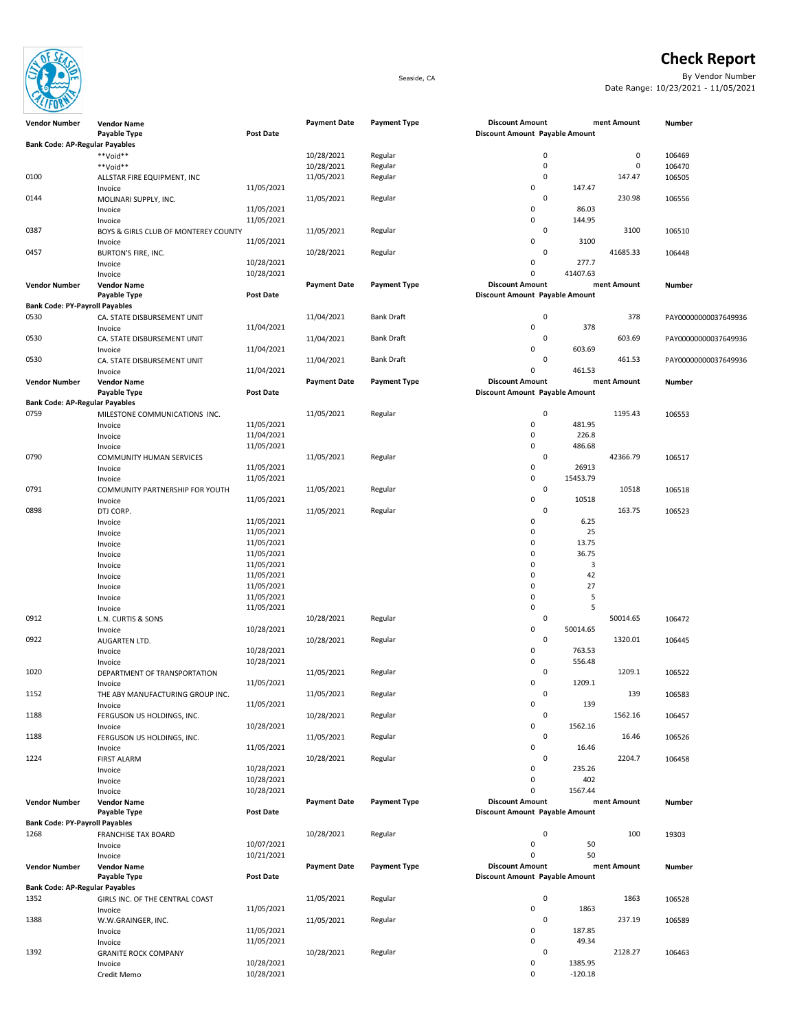

**Bank Code: AP-Regular Payables**

## **Check Report**<br>By Vendor Number

Seaside, CA By Vendor Number Date Range: 10/23/2021 - 11/05/2021

| 0144                                  | MOLINARI SUPPLY, INC.                |                  | 11/05/2021          | Regular             |                                | 0           |          | 230.98      | 106556  |
|---------------------------------------|--------------------------------------|------------------|---------------------|---------------------|--------------------------------|-------------|----------|-------------|---------|
|                                       | Invoice                              | 11/05/2021       |                     |                     | 0                              |             | 86.03    |             |         |
|                                       | Invoice                              | 11/05/2021       |                     |                     | 0                              |             | 144.95   |             |         |
| 0387                                  | BOYS & GIRLS CLUB OF MONTEREY COUNTY |                  | 11/05/2021          | Regular             |                                | 0           |          | 3100        | 106510  |
|                                       | Invoice                              | 11/05/2021       |                     |                     | 0                              |             | 3100     |             |         |
| 0457                                  |                                      |                  | 10/28/2021          | Regular             |                                | 0           |          | 41685.33    | 106448  |
|                                       | BURTON'S FIRE, INC.                  |                  |                     |                     |                                |             |          |             |         |
|                                       | Invoice                              | 10/28/2021       |                     |                     | 0                              |             | 277.7    |             |         |
|                                       | Invoice                              | 10/28/2021       |                     |                     | 0                              |             | 41407.63 |             |         |
| <b>Vendor Number</b>                  | <b>Vendor Name</b>                   |                  | <b>Payment Date</b> | <b>Payment Type</b> | <b>Discount Amount</b>         |             |          | ment Amount | Number  |
|                                       | Payable Type                         | Post Date        |                     |                     | Discount Amount Payable Amount |             |          |             |         |
| <b>Bank Code: PY-Payroll Payables</b> |                                      |                  |                     |                     |                                |             |          |             |         |
| 0530                                  | CA. STATE DISBURSEMENT UNIT          |                  | 11/04/2021          | <b>Bank Draft</b>   |                                | $\mathbf 0$ |          | 378         | PAY0000 |
|                                       | Invoice                              | 11/04/2021       |                     |                     | $\pmb{0}$                      |             | 378      |             |         |
| 0530                                  | CA. STATE DISBURSEMENT UNIT          |                  | 11/04/2021          | <b>Bank Draft</b>   |                                | 0           |          | 603.69      | PAY0000 |
|                                       | Invoice                              | 11/04/2021       |                     |                     | $\pmb{0}$                      |             | 603.69   |             |         |
| 0530                                  |                                      |                  |                     | Bank Draft          |                                | 0           |          | 461.53      |         |
|                                       | CA. STATE DISBURSEMENT UNIT          |                  | 11/04/2021          |                     |                                |             |          |             | PAY0000 |
|                                       | Invoice                              | 11/04/2021       |                     |                     | 0                              |             | 461.53   |             |         |
| <b>Vendor Number</b>                  | <b>Vendor Name</b>                   |                  | <b>Payment Date</b> | <b>Payment Type</b> | <b>Discount Amount</b>         |             |          | ment Amount | Number  |
|                                       | Payable Type                         | <b>Post Date</b> |                     |                     | Discount Amount Payable Amount |             |          |             |         |
| <b>Bank Code: AP-Regular Payables</b> |                                      |                  |                     |                     |                                |             |          |             |         |
| 0759                                  | MILESTONE COMMUNICATIONS INC.        |                  | 11/05/2021          | Regular             |                                | $\mathbf 0$ |          | 1195.43     | 106553  |
|                                       | Invoice                              | 11/05/2021       |                     |                     | 0                              |             | 481.95   |             |         |
|                                       | Invoice                              | 11/04/2021       |                     |                     | 0                              |             | 226.8    |             |         |
|                                       |                                      | 11/05/2021       |                     |                     | 0                              |             | 486.68   |             |         |
|                                       | Invoice                              |                  |                     |                     |                                |             |          |             |         |
| 0790                                  | <b>COMMUNITY HUMAN SERVICES</b>      |                  | 11/05/2021          | Regular             |                                | 0           |          | 42366.79    | 106517  |
|                                       | Invoice                              | 11/05/2021       |                     |                     | 0                              |             | 26913    |             |         |
|                                       | Invoice                              | 11/05/2021       |                     |                     | $\pmb{0}$                      |             | 15453.79 |             |         |
| 0791                                  | COMMUNITY PARTNERSHIP FOR YOUTH      |                  | 11/05/2021          | Regular             |                                | $\mathbf 0$ |          | 10518       | 106518  |
|                                       | Invoice                              | 11/05/2021       |                     |                     | $\pmb{0}$                      |             | 10518    |             |         |
| 0898                                  | DTJ CORP.                            |                  | 11/05/2021          | Regular             |                                | 0           |          | 163.75      | 106523  |
|                                       | Invoice                              | 11/05/2021       |                     |                     | $\pmb{0}$                      |             | 6.25     |             |         |
|                                       | Invoice                              | 11/05/2021       |                     |                     | 0                              |             | 25       |             |         |
|                                       |                                      | 11/05/2021       |                     |                     | $\pmb{0}$                      |             | 13.75    |             |         |
|                                       | Invoice                              |                  |                     |                     |                                |             |          |             |         |
|                                       | Invoice                              | 11/05/2021       |                     |                     | 0                              |             | 36.75    |             |         |
|                                       | Invoice                              | 11/05/2021       |                     |                     | 0                              |             | 3        |             |         |
|                                       | Invoice                              | 11/05/2021       |                     |                     | $\mathbf 0$                    |             | 42       |             |         |
|                                       | Invoice                              | 11/05/2021       |                     |                     | 0                              |             | 27       |             |         |
|                                       | Invoice                              | 11/05/2021       |                     |                     | $\mathbf 0$                    |             | 5        |             |         |
|                                       | Invoice                              | 11/05/2021       |                     |                     | $\pmb{0}$                      |             | 5        |             |         |
| 0912                                  | L.N. CURTIS & SONS                   |                  | 10/28/2021          | Regular             |                                | 0           |          | 50014.65    | 106472  |
|                                       | Invoice                              | 10/28/2021       |                     |                     | 0                              |             | 50014.65 |             |         |
| 0922                                  |                                      |                  | 10/28/2021          | Regular             |                                | 0           |          | 1320.01     | 106445  |
|                                       | AUGARTEN LTD.                        |                  |                     |                     |                                |             |          |             |         |
|                                       | Invoice                              | 10/28/2021       |                     |                     | 0                              |             | 763.53   |             |         |
|                                       | Invoice                              | 10/28/2021       |                     |                     | 0                              |             | 556.48   |             |         |
| 1020                                  | DEPARTMENT OF TRANSPORTATION         |                  | 11/05/2021          | Regular             |                                | 0           |          | 1209.1      | 106522  |
|                                       | Invoice                              | 11/05/2021       |                     |                     | $\pmb{0}$                      |             | 1209.1   |             |         |
| 1152                                  | THE ABY MANUFACTURING GROUP INC.     |                  | 11/05/2021          | Regular             |                                | 0           |          | 139         | 106583  |
|                                       | Invoice                              | 11/05/2021       |                     |                     | $\pmb{0}$                      |             | 139      |             |         |
| 1188                                  | FERGUSON US HOLDINGS, INC.           |                  | 10/28/2021          | Regular             |                                | 0           |          | 1562.16     | 106457  |
|                                       | Invoice                              | 10/28/2021       |                     |                     | 0                              |             | 1562.16  |             |         |
| 1188                                  |                                      |                  | 11/05/2021          | Regular             |                                | 0           |          | 16.46       | 106526  |
|                                       | FERGUSON US HOLDINGS, INC.           | 11/05/2021       |                     |                     | 0                              |             | 16.46    |             |         |
|                                       | Invoice                              |                  |                     |                     |                                |             |          |             |         |
| 1224                                  | <b>FIRST ALARM</b>                   |                  | 10/28/2021          | Regular             |                                | $\mathbf 0$ |          | 2204.7      | 106458  |
|                                       | Invoice                              | 10/28/2021       |                     |                     | 0                              |             | 235.26   |             |         |
|                                       | Invoice                              | 10/28/2021       |                     |                     | 0                              |             | 402      |             |         |
|                                       | Invoice                              | 10/28/2021       |                     |                     | 0                              |             | 1567.44  |             |         |
| <b>Vendor Number</b>                  | <b>Vendor Name</b>                   |                  | <b>Payment Date</b> | <b>Payment Type</b> | <b>Discount Amount</b>         |             |          | ment Amount | Number  |
|                                       | Payable Type                         | <b>Post Date</b> |                     |                     | Discount Amount Payable Amount |             |          |             |         |
| <b>Bank Code: PY-Payroll Payables</b> |                                      |                  |                     |                     |                                |             |          |             |         |
| 1268                                  | <b>FRANCHISE TAX BOARD</b>           |                  | 10/28/2021          | Regular             |                                | 0           |          | 100         | 19303   |
|                                       |                                      | 10/07/2021       |                     |                     |                                |             |          |             |         |
|                                       | Invoice                              |                  |                     |                     | 0                              |             | 50       |             |         |
|                                       | Invoice                              | 10/21/2021       |                     |                     | 0                              |             | 50       |             |         |
| <b>Vendor Number</b>                  | <b>Vendor Name</b>                   |                  | <b>Payment Date</b> | <b>Payment Type</b> | <b>Discount Amount</b>         |             |          | ment Amount | Number  |
|                                       | Payable Type                         | <b>Post Date</b> |                     |                     | Discount Amount Payable Amount |             |          |             |         |
| <b>Bank Code: AP-Regular Payables</b> |                                      |                  |                     |                     |                                |             |          |             |         |
| 1352                                  | GIRLS INC. OF THE CENTRAL COAST      |                  | 11/05/2021          | Regular             |                                | 0           |          | 1863        | 106528  |
|                                       | Invoice                              | 11/05/2021       |                     |                     | 0                              |             | 1863     |             |         |

1388 W.W.GRAINGER, INC. 11/05/2021 Regular 11/05/2021 Regular 0 237.19<br>
Invoice 11/05/2021 0 187.85 Invoice 2006 11/05/2021 2021 2022 11/05/2021 2022 11:00:00 187.85 Invoice 20 20 21/05/2021 20:00 12:00 12:00 12:00 12:00 13:00 149.34

**Vendor Number Number**

0100 ALLSTAR FIRE EQUIPMENT, INC 11/05/2021 Regular 11/05/2021 0 147.47<br>
Invoice 11/05/2021 11/05/2021 0 147.47 Invoice 2001 11/05/2021 2002 11/05/2021 2003 11/05/2021 2003 11:00:00 11:00:00 11:00:00 11:00:00 11:00:00 11:0

**Vendor Name Payment Date Payment Type Discount Amount Payment Amount**

\*\*Void\*\* 10/28/2021 Regular 0 0 \*\*Void\*\* 10/28/2021 Regular 0 0

**Piscount Amount Payable Amount** 

106528 106589

106463

PAY00000000037649936 PAY00000000037649936 PAY00000000037649936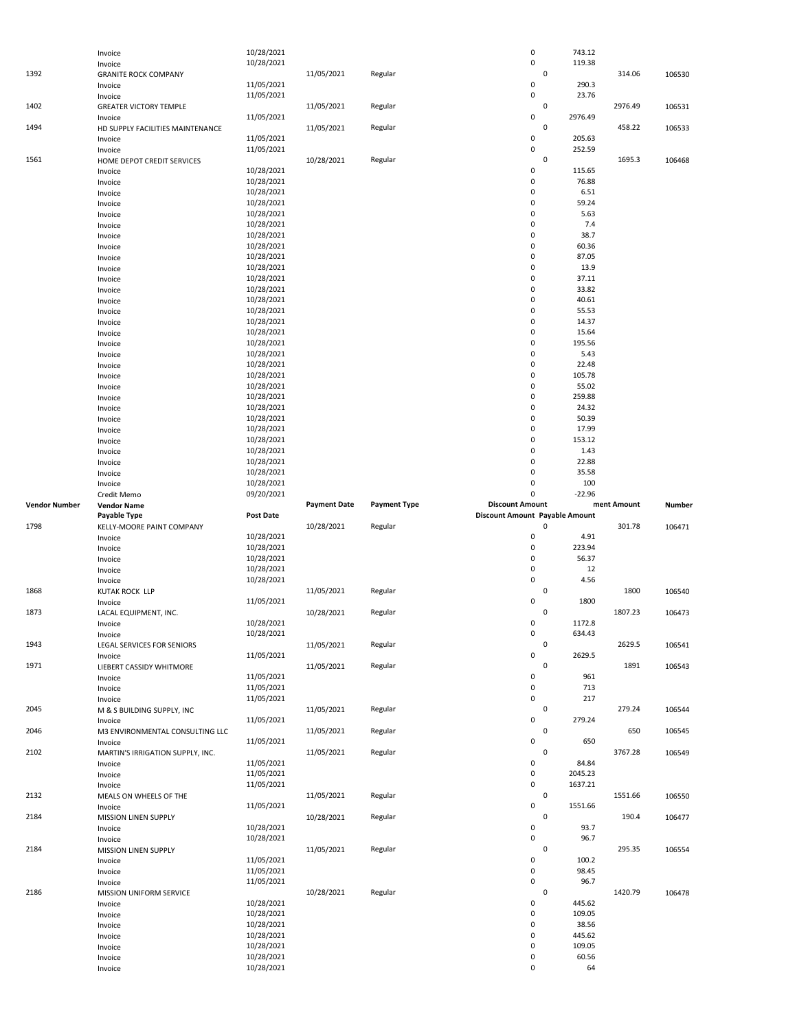|                      | Invoice                                  | 10/28/2021               |                     |                     | $\pmb{0}$                      | 743.12             |             |        |
|----------------------|------------------------------------------|--------------------------|---------------------|---------------------|--------------------------------|--------------------|-------------|--------|
|                      | Invoice                                  | 10/28/2021               |                     |                     | $\pmb{0}$                      | 119.38             |             |        |
| 1392                 | <b>GRANITE ROCK COMPANY</b>              |                          | 11/05/2021          | Regular             |                                | $\mathbf 0$        | 314.06      | 106530 |
|                      | Invoice                                  | 11/05/2021<br>11/05/2021 |                     |                     | 0<br>0                         | 290.3<br>23.76     |             |        |
| 1402                 | Invoice<br><b>GREATER VICTORY TEMPLE</b> |                          | 11/05/2021          | Regular             |                                | $\pmb{0}$          | 2976.49     | 106531 |
|                      | Invoice                                  | 11/05/2021               |                     |                     | 0                              | 2976.49            |             |        |
| 1494                 | HD SUPPLY FACILITIES MAINTENANCE         |                          | 11/05/2021          | Regular             |                                | $\mathbf 0$        | 458.22      | 106533 |
|                      | Invoice                                  | 11/05/2021               |                     |                     | 0                              | 205.63             |             |        |
|                      | Invoice                                  | 11/05/2021               |                     |                     | $\pmb{0}$                      | 252.59             |             |        |
| 1561                 | HOME DEPOT CREDIT SERVICES               |                          | 10/28/2021          | Regular             |                                | $\mathbf 0$        | 1695.3      | 106468 |
|                      | Invoice<br>Invoice                       | 10/28/2021<br>10/28/2021 |                     |                     | 0<br>0                         | 115.65<br>76.88    |             |        |
|                      | Invoice                                  | 10/28/2021               |                     |                     | 0                              | 6.51               |             |        |
|                      | Invoice                                  | 10/28/2021               |                     |                     | 0                              | 59.24              |             |        |
|                      | Invoice                                  | 10/28/2021               |                     |                     | 0                              | 5.63               |             |        |
|                      | Invoice                                  | 10/28/2021               |                     |                     | 0                              | 7.4                |             |        |
|                      | Invoice                                  | 10/28/2021               |                     |                     | 0                              | 38.7               |             |        |
|                      | Invoice                                  | 10/28/2021               |                     |                     | 0                              | 60.36              |             |        |
|                      | Invoice                                  | 10/28/2021<br>10/28/2021 |                     |                     | $\pmb{0}$<br>0                 | 87.05<br>13.9      |             |        |
|                      | Invoice<br>Invoice                       | 10/28/2021               |                     |                     | $\pmb{0}$                      | 37.11              |             |        |
|                      | Invoice                                  | 10/28/2021               |                     |                     | 0                              | 33.82              |             |        |
|                      | Invoice                                  | 10/28/2021               |                     |                     | 0                              | 40.61              |             |        |
|                      | Invoice                                  | 10/28/2021               |                     |                     | $\pmb{0}$                      | 55.53              |             |        |
|                      | Invoice                                  | 10/28/2021               |                     |                     | 0                              | 14.37              |             |        |
|                      | Invoice                                  | 10/28/2021               |                     |                     | $\pmb{0}$                      | 15.64              |             |        |
|                      | Invoice                                  | 10/28/2021<br>10/28/2021 |                     |                     | 0<br>$\pmb{0}$                 | 195.56<br>5.43     |             |        |
|                      | Invoice<br>Invoice                       | 10/28/2021               |                     |                     | 0                              | 22.48              |             |        |
|                      | Invoice                                  | 10/28/2021               |                     |                     | $\pmb{0}$                      | 105.78             |             |        |
|                      | Invoice                                  | 10/28/2021               |                     |                     | 0                              | 55.02              |             |        |
|                      | Invoice                                  | 10/28/2021               |                     |                     | $\pmb{0}$                      | 259.88             |             |        |
|                      | Invoice                                  | 10/28/2021               |                     |                     | 0                              | 24.32              |             |        |
|                      | Invoice                                  | 10/28/2021               |                     |                     | $\pmb{0}$                      | 50.39              |             |        |
|                      | Invoice                                  | 10/28/2021<br>10/28/2021 |                     |                     | 0<br>0                         | 17.99<br>153.12    |             |        |
|                      | Invoice<br>Invoice                       | 10/28/2021               |                     |                     | 0                              | 1.43               |             |        |
|                      | Invoice                                  | 10/28/2021               |                     |                     | $\pmb{0}$                      | 22.88              |             |        |
|                      | Invoice                                  | 10/28/2021               |                     |                     | $\mathbf 0$                    | 35.58              |             |        |
|                      | Invoice                                  | 10/28/2021               |                     |                     | 0                              | 100                |             |        |
|                      | Credit Memo                              | 09/20/2021               |                     |                     | 0                              | $-22.96$           |             |        |
| <b>Vendor Number</b> | <b>Vendor Name</b>                       |                          | <b>Payment Date</b> | <b>Payment Type</b> | <b>Discount Amount</b>         |                    | ment Amount | Number |
|                      |                                          |                          |                     |                     |                                |                    |             |        |
|                      | Payable Type                             | <b>Post Date</b>         |                     |                     | Discount Amount Payable Amount |                    |             |        |
| 1798                 | KELLY-MOORE PAINT COMPANY                |                          | 10/28/2021          | Regular             | 0                              | 0                  | 301.78      | 106471 |
|                      | Invoice<br>Invoice                       | 10/28/2021<br>10/28/2021 |                     |                     | 0                              | 4.91<br>223.94     |             |        |
|                      | Invoice                                  | 10/28/2021               |                     |                     | $\pmb{0}$                      | 56.37              |             |        |
|                      | Invoice                                  | 10/28/2021               |                     |                     | 0                              | 12                 |             |        |
|                      | Invoice                                  | 10/28/2021               |                     |                     | 0                              | 4.56               |             |        |
| 1868                 | KUTAK ROCK LLP                           |                          | 11/05/2021          | Regular             |                                | 0                  | 1800        | 106540 |
|                      | Invoice                                  | 11/05/2021               |                     |                     | 0                              | 1800               |             |        |
| 1873                 | LACAL EQUIPMENT, INC.                    | 10/28/2021               | 10/28/2021          | Regular             | 0                              | 0<br>1172.8        | 1807.23     | 106473 |
|                      | Invoice<br>Invoice                       | 10/28/2021               |                     |                     | 0                              | 634.43             |             |        |
| 1943                 | LEGAL SERVICES FOR SENIORS               |                          | 11/05/2021          | Regular             |                                | $\pmb{0}$          | 2629.5      | 106541 |
|                      | Invoice                                  | 11/05/2021               |                     |                     | 0                              | 2629.5             |             |        |
| 1971                 | LIEBERT CASSIDY WHITMORE                 |                          | 11/05/2021          | Regular             |                                | $\pmb{0}$          | 1891        | 106543 |
|                      | Invoice                                  | 11/05/2021               |                     |                     | 0                              | 961                |             |        |
|                      | Invoice                                  | 11/05/2021               |                     |                     | $\pmb{0}$<br>$\mathbf 0$       | 713<br>217         |             |        |
| 2045                 | Invoice<br>M & S BUILDING SUPPLY, INC    | 11/05/2021               | 11/05/2021          | Regular             |                                | 0                  | 279.24      | 106544 |
|                      | Invoice                                  | 11/05/2021               |                     |                     | 0                              | 279.24             |             |        |
| 2046                 | M3 ENVIRONMENTAL CONSULTING LLC          |                          | 11/05/2021          | Regular             |                                | 0                  | 650         | 106545 |
|                      | Invoice                                  | 11/05/2021               |                     |                     | $\pmb{0}$                      | 650                |             |        |
| 2102                 | MARTIN'S IRRIGATION SUPPLY, INC.         |                          | 11/05/2021          | Regular             |                                | $\mathsf 0$        | 3767.28     | 106549 |
|                      | Invoice                                  | 11/05/2021               |                     |                     | 0                              | 84.84              |             |        |
|                      | Invoice<br>Invoice                       | 11/05/2021<br>11/05/2021 |                     |                     | 0<br>0                         | 2045.23<br>1637.21 |             |        |
| 2132                 | MEALS ON WHEELS OF THE                   |                          | 11/05/2021          | Regular             |                                | $\pmb{0}$          | 1551.66     | 106550 |
|                      | Invoice                                  | 11/05/2021               |                     |                     | 0                              | 1551.66            |             |        |
| 2184                 | MISSION LINEN SUPPLY                     |                          | 10/28/2021          | Regular             |                                | 0                  | 190.4       | 106477 |
|                      | Invoice                                  | 10/28/2021               |                     |                     | 0                              | 93.7               |             |        |
|                      | Invoice                                  | 10/28/2021               |                     |                     | 0                              | 96.7               |             |        |
| 2184                 | MISSION LINEN SUPPLY<br>Invoice          | 11/05/2021               | 11/05/2021          | Regular             | 0                              | $\pmb{0}$<br>100.2 | 295.35      | 106554 |
|                      | Invoice                                  | 11/05/2021               |                     |                     | $\pmb{0}$                      | 98.45              |             |        |
|                      | Invoice                                  | 11/05/2021               |                     |                     | 0                              | 96.7               |             |        |
| 2186                 | MISSION UNIFORM SERVICE                  |                          | 10/28/2021          | Regular             |                                | $\pmb{0}$          | 1420.79     | 106478 |
|                      | Invoice                                  | 10/28/2021               |                     |                     | 0                              | 445.62             |             |        |
|                      | Invoice                                  | 10/28/2021               |                     |                     | $\pmb{0}$<br>0                 | 109.05             |             |        |
|                      | Invoice<br>Invoice                       | 10/28/2021<br>10/28/2021 |                     |                     | $\pmb{0}$                      | 38.56<br>445.62    |             |        |
|                      | Invoice                                  | 10/28/2021               |                     |                     | 0                              | 109.05             |             |        |
|                      | Invoice<br>Invoice                       | 10/28/2021<br>10/28/2021 |                     |                     | 0<br>0                         | 60.56<br>64        |             |        |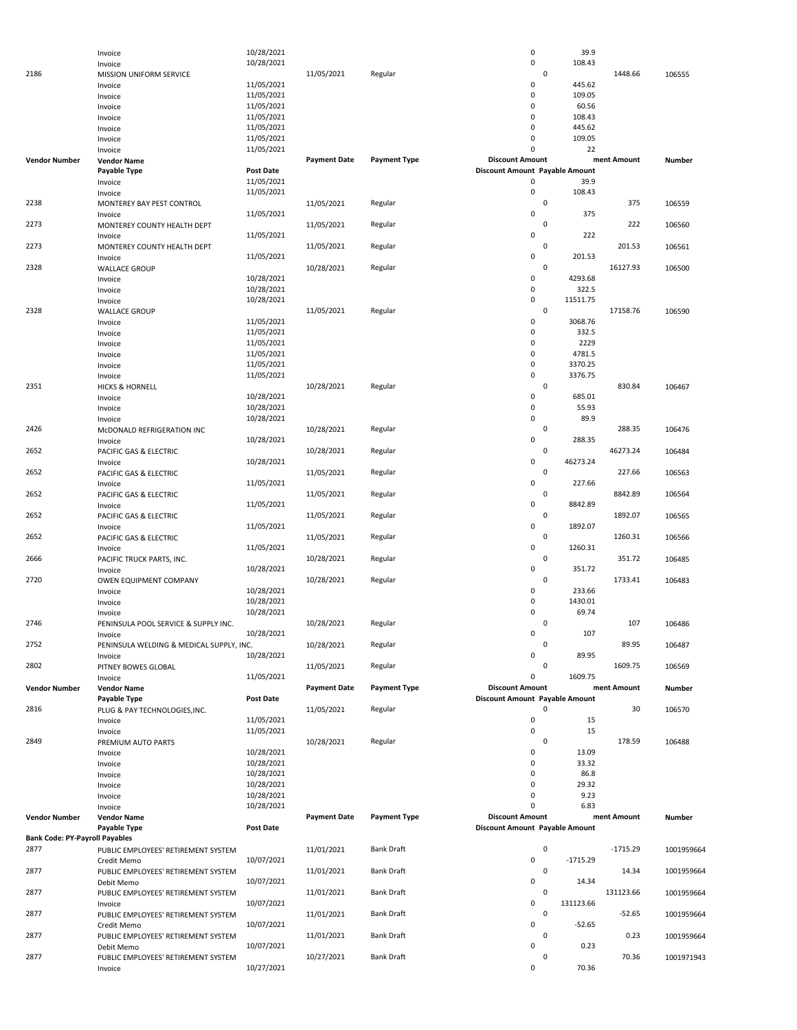|                                       | Invoice                                  | 10/28/2021       |                     |                     | $\pmb{0}$                      |             | 39.9       |             |            |
|---------------------------------------|------------------------------------------|------------------|---------------------|---------------------|--------------------------------|-------------|------------|-------------|------------|
|                                       | Invoice                                  | 10/28/2021       |                     |                     | $\pmb{0}$                      |             | 108.43     |             |            |
| 2186                                  | MISSION UNIFORM SERVICE                  |                  | 11/05/2021          | Regular             |                                | $\mathsf 0$ |            | 1448.66     | 106555     |
|                                       | Invoice                                  | 11/05/2021       |                     |                     | 0                              |             | 445.62     |             |            |
|                                       | Invoice                                  | 11/05/2021       |                     |                     | 0                              |             | 109.05     |             |            |
|                                       | Invoice                                  | 11/05/2021       |                     |                     | 0                              |             | 60.56      |             |            |
|                                       | Invoice                                  | 11/05/2021       |                     |                     | 0                              |             | 108.43     |             |            |
|                                       | Invoice                                  | 11/05/2021       |                     |                     | $\mathbf 0$                    |             | 445.62     |             |            |
|                                       | Invoice                                  | 11/05/2021       |                     |                     | 0                              |             | 109.05     |             |            |
|                                       | Invoice                                  | 11/05/2021       |                     |                     | $\Omega$                       |             | 22         |             |            |
| <b>Vendor Number</b>                  | <b>Vendor Name</b>                       |                  | <b>Payment Date</b> | <b>Payment Type</b> | <b>Discount Amount</b>         |             |            | ment Amount | Number     |
|                                       | Payable Type                             | <b>Post Date</b> |                     |                     | Discount Amount Payable Amount |             |            |             |            |
|                                       | Invoice                                  | 11/05/2021       |                     |                     | 0                              |             | 39.9       |             |            |
|                                       | Invoice                                  | 11/05/2021       |                     |                     | $\pmb{0}$                      |             | 108.43     |             |            |
| 2238                                  | MONTEREY BAY PEST CONTROL                |                  | 11/05/2021          | Regular             |                                | 0           |            | 375         | 106559     |
|                                       | Invoice                                  | 11/05/2021       |                     |                     | 0                              |             | 375        |             |            |
| 2273                                  | MONTEREY COUNTY HEALTH DEPT              |                  | 11/05/2021          | Regular             |                                | 0           |            | 222         | 106560     |
|                                       | Invoice                                  | 11/05/2021       |                     |                     | 0                              |             | 222        |             |            |
| 2273                                  | MONTEREY COUNTY HEALTH DEPT              |                  | 11/05/2021          | Regular             |                                | 0           |            | 201.53      | 106561     |
|                                       | Invoice                                  | 11/05/2021       |                     |                     | 0                              |             | 201.53     |             |            |
| 2328                                  | <b>WALLACE GROUP</b>                     |                  | 10/28/2021          | Regular             |                                | 0           |            | 16127.93    | 106500     |
|                                       | Invoice                                  | 10/28/2021       |                     |                     | 0                              |             | 4293.68    |             |            |
|                                       | Invoice                                  | 10/28/2021       |                     |                     | 0                              |             | 322.5      |             |            |
|                                       | Invoice                                  | 10/28/2021       |                     |                     | 0                              |             | 11511.75   |             |            |
| 2328                                  | <b>WALLACE GROUP</b>                     |                  | 11/05/2021          | Regular             |                                | 0           |            | 17158.76    | 106590     |
|                                       | Invoice                                  | 11/05/2021       |                     |                     | $\pmb{0}$                      |             | 3068.76    |             |            |
|                                       | Invoice                                  | 11/05/2021       |                     |                     | 0                              |             | 332.5      |             |            |
|                                       | Invoice                                  | 11/05/2021       |                     |                     | 0                              |             | 2229       |             |            |
|                                       | Invoice                                  | 11/05/2021       |                     |                     | 0                              |             | 4781.5     |             |            |
|                                       | Invoice                                  | 11/05/2021       |                     |                     | 0                              |             | 3370.25    |             |            |
|                                       | Invoice                                  | 11/05/2021       |                     |                     | 0                              |             | 3376.75    |             |            |
| 2351                                  | <b>HICKS &amp; HORNELL</b>               |                  | 10/28/2021          | Regular             |                                | $\mathsf 0$ |            | 830.84      | 106467     |
|                                       | Invoice                                  | 10/28/2021       |                     |                     | 0                              |             | 685.01     |             |            |
|                                       | Invoice                                  | 10/28/2021       |                     |                     | 0                              |             | 55.93      |             |            |
|                                       | Invoice                                  | 10/28/2021       |                     |                     | 0                              |             | 89.9       |             |            |
| 2426                                  | McDONALD REFRIGERATION INC               |                  | 10/28/2021          | Regular             |                                | 0           |            | 288.35      | 106476     |
|                                       | Invoice                                  | 10/28/2021       |                     |                     | 0                              |             | 288.35     |             |            |
| 2652                                  | PACIFIC GAS & ELECTRIC                   |                  | 10/28/2021          | Regular             |                                | 0           |            | 46273.24    | 106484     |
|                                       | Invoice                                  | 10/28/2021       |                     |                     | 0                              |             | 46273.24   |             |            |
| 2652                                  | PACIFIC GAS & ELECTRIC                   |                  | 11/05/2021          | Regular             |                                | 0           |            | 227.66      | 106563     |
|                                       | Invoice                                  | 11/05/2021       |                     |                     | 0                              |             | 227.66     |             |            |
| 2652                                  | PACIFIC GAS & ELECTRIC                   |                  | 11/05/2021          | Regular             |                                | 0           |            | 8842.89     | 106564     |
|                                       | Invoice                                  | 11/05/2021       |                     |                     | 0                              |             | 8842.89    |             |            |
| 2652                                  | PACIFIC GAS & ELECTRIC                   |                  | 11/05/2021          | Regular             |                                | 0           |            | 1892.07     | 106565     |
|                                       | Invoice                                  | 11/05/2021       |                     |                     | 0                              |             | 1892.07    |             |            |
| 2652                                  | PACIFIC GAS & ELECTRIC                   |                  | 11/05/2021          | Regular             |                                | 0           |            | 1260.31     | 106566     |
|                                       | Invoice                                  | 11/05/2021       |                     |                     | 0                              |             | 1260.31    |             |            |
| 2666                                  | PACIFIC TRUCK PARTS, INC.                |                  | 10/28/2021          | Regular             |                                | 0           |            | 351.72      | 106485     |
|                                       | Invoice                                  | 10/28/2021       |                     |                     | 0                              |             | 351.72     |             |            |
| 2720                                  | OWEN EQUIPMENT COMPANY                   |                  | 10/28/2021          | Regular             |                                | 0           |            | 1733.41     | 106483     |
|                                       | Invoice                                  | 10/28/2021       |                     |                     | 0                              |             | 233.66     |             |            |
|                                       | Invoice                                  | 10/28/2021       |                     |                     | 0                              |             | 1430.01    |             |            |
|                                       | Invoice                                  | 10/28/2021       |                     |                     | 0                              |             | 69.74      |             |            |
| 2746                                  | PENINSULA POOL SERVICE & SUPPLY INC.     |                  | 10/28/2021          | Regular             |                                | 0           |            | 107         | 106486     |
|                                       | Invoice                                  | 10/28/2021       |                     |                     | 0                              |             | 107        |             |            |
| 2752                                  | PENINSULA WELDING & MEDICAL SUPPLY, INC. |                  | 10/28/2021          | Regular             |                                | 0           |            | 89.95       | 106487     |
|                                       | Invoice                                  | 10/28/2021       |                     |                     | 0                              |             | 89.95      |             |            |
| 2802                                  | PITNEY BOWES GLOBAL                      |                  | 11/05/2021          | Regular             |                                | 0           |            | 1609.75     | 106569     |
|                                       | Invoice                                  | 11/05/2021       |                     |                     | 0                              |             | 1609.75    |             |            |
| <b>Vendor Number</b>                  | <b>Vendor Name</b>                       |                  | <b>Payment Date</b> | <b>Payment Type</b> | <b>Discount Amount</b>         |             |            | ment Amount | Number     |
|                                       | Payable Type                             | <b>Post Date</b> |                     |                     | Discount Amount Payable Amount |             |            |             |            |
| 2816                                  | PLUG & PAY TECHNOLOGIES, INC.            |                  | 11/05/2021          | Regular             |                                | 0           |            | 30          | 106570     |
|                                       | Invoice                                  | 11/05/2021       |                     |                     | $\pmb{0}$                      |             | 15         |             |            |
|                                       | Invoice                                  | 11/05/2021       |                     |                     | $\pmb{0}$                      |             | 15         |             |            |
| 2849                                  | PREMIUM AUTO PARTS                       |                  | 10/28/2021          | Regular             |                                | 0           |            | 178.59      | 106488     |
|                                       | Invoice                                  | 10/28/2021       |                     |                     | 0                              |             | 13.09      |             |            |
|                                       | Invoice                                  | 10/28/2021       |                     |                     | 0                              |             | 33.32      |             |            |
|                                       | Invoice                                  | 10/28/2021       |                     |                     | 0                              |             | 86.8       |             |            |
|                                       | Invoice                                  | 10/28/2021       |                     |                     | 0                              |             | 29.32      |             |            |
|                                       | Invoice                                  | 10/28/2021       |                     |                     | 0                              |             | 9.23       |             |            |
|                                       | Invoice                                  | 10/28/2021       |                     |                     | $\Omega$                       |             | 6.83       |             |            |
| <b>Vendor Number</b>                  | <b>Vendor Name</b>                       |                  | <b>Payment Date</b> | <b>Payment Type</b> | <b>Discount Amount</b>         |             |            | ment Amount | Number     |
|                                       | Payable Type                             | <b>Post Date</b> |                     |                     | Discount Amount Payable Amount |             |            |             |            |
| <b>Bank Code: PY-Payroll Payables</b> |                                          |                  |                     |                     |                                |             |            |             |            |
| 2877                                  | PUBLIC EMPLOYEES' RETIREMENT SYSTEM      |                  | 11/01/2021          | <b>Bank Draft</b>   |                                | $\mathsf 0$ |            | $-1715.29$  | 1001959664 |
|                                       | Credit Memo                              | 10/07/2021       |                     |                     | $\pmb{0}$                      |             | $-1715.29$ |             |            |
| 2877                                  | PUBLIC EMPLOYEES' RETIREMENT SYSTEM      |                  | 11/01/2021          | <b>Bank Draft</b>   |                                | $\mathsf 0$ |            | 14.34       | 1001959664 |
|                                       | Debit Memo                               | 10/07/2021       |                     |                     | 0                              |             | 14.34      |             |            |
| 2877                                  | PUBLIC EMPLOYEES' RETIREMENT SYSTEM      |                  | 11/01/2021          | <b>Bank Draft</b>   |                                | 0           |            | 131123.66   | 1001959664 |
|                                       | Invoice                                  | 10/07/2021       |                     |                     | 0                              |             | 131123.66  |             |            |
| 2877                                  | PUBLIC EMPLOYEES' RETIREMENT SYSTEM      |                  | 11/01/2021          | <b>Bank Draft</b>   |                                | $\mathsf 0$ |            | $-52.65$    | 1001959664 |
|                                       | Credit Memo                              | 10/07/2021       |                     |                     | 0                              |             | $-52.65$   |             |            |
| 2877                                  | PUBLIC EMPLOYEES' RETIREMENT SYSTEM      |                  | 11/01/2021          | <b>Bank Draft</b>   |                                | 0           |            | 0.23        | 1001959664 |
|                                       | Debit Memo                               | 10/07/2021       |                     |                     | 0                              |             | 0.23       |             |            |
| 2877                                  | PUBLIC EMPLOYEES' RETIREMENT SYSTEM      |                  | 10/27/2021          | <b>Bank Draft</b>   |                                | 0           |            | 70.36       | 1001971943 |
|                                       | Invoice                                  | 10/27/2021       |                     |                     | 0                              |             | 70.36      |             |            |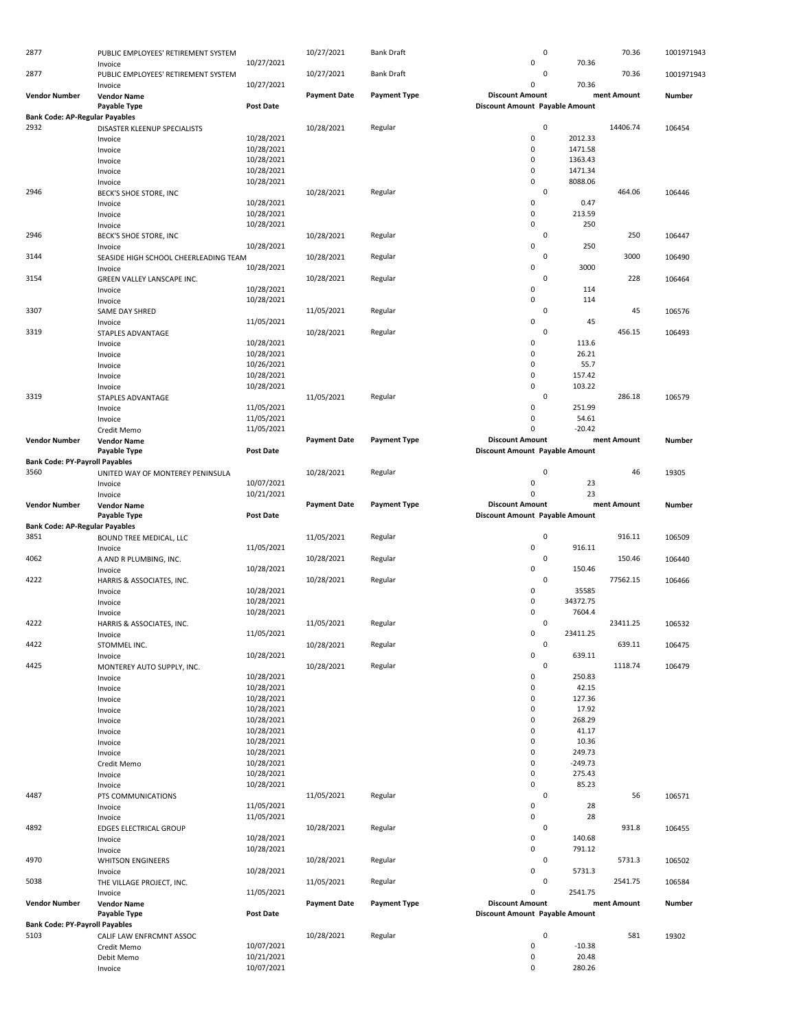| 2877                                  | PUBLIC EMPLOYEES' RETIREMENT SYSTEM   |                  | 10/27/2021          | <b>Bank Draft</b>   | 0                              |          | 70.36       | 1001971943    |
|---------------------------------------|---------------------------------------|------------------|---------------------|---------------------|--------------------------------|----------|-------------|---------------|
|                                       | Invoice                               | 10/27/2021       |                     |                     | 0                              | 70.36    |             |               |
| 2877                                  | PUBLIC EMPLOYEES' RETIREMENT SYSTEM   |                  | 10/27/2021          | <b>Bank Draft</b>   | 0                              |          | 70.36       | 1001971943    |
|                                       | Invoice                               | 10/27/2021       |                     |                     | $\Omega$                       | 70.36    |             |               |
| <b>Vendor Number</b>                  | <b>Vendor Name</b>                    |                  | <b>Payment Date</b> | <b>Payment Type</b> | <b>Discount Amount</b>         |          | ment Amount | <b>Number</b> |
|                                       | Payable Type                          | Post Date        |                     |                     | Discount Amount Payable Amount |          |             |               |
| <b>Bank Code: AP-Regular Payables</b> |                                       |                  |                     |                     |                                |          |             |               |
| 2932                                  | DISASTER KLEENUP SPECIALISTS          |                  | 10/28/2021          | Regular             | $\mathbf 0$                    |          | 14406.74    | 106454        |
|                                       | Invoice                               | 10/28/2021       |                     |                     | 0                              | 2012.33  |             |               |
|                                       | Invoice                               | 10/28/2021       |                     |                     | $\mathbf 0$                    | 1471.58  |             |               |
|                                       | Invoice                               | 10/28/2021       |                     |                     | 0                              | 1363.43  |             |               |
|                                       | Invoice                               | 10/28/2021       |                     |                     | 0                              | 1471.34  |             |               |
|                                       | Invoice                               | 10/28/2021       |                     |                     | 0                              | 8088.06  |             |               |
| 2946                                  | BECK'S SHOE STORE, INC                |                  | 10/28/2021          | Regular             | 0                              |          | 464.06      | 106446        |
|                                       | Invoice                               | 10/28/2021       |                     |                     | 0                              | 0.47     |             |               |
|                                       | Invoice                               | 10/28/2021       |                     |                     | 0                              | 213.59   |             |               |
|                                       | Invoice                               | 10/28/2021       |                     |                     | 0                              | 250      |             |               |
| 2946                                  | BECK'S SHOE STORE, INC                |                  | 10/28/2021          | Regular             | 0                              |          | 250         | 106447        |
|                                       | Invoice                               | 10/28/2021       |                     |                     | 0                              | 250      |             |               |
| 3144                                  | SEASIDE HIGH SCHOOL CHEERLEADING TEAM |                  | 10/28/2021          | Regular             | $\mathbf 0$                    |          | 3000        | 106490        |
|                                       | Invoice                               | 10/28/2021       |                     |                     | 0                              | 3000     |             |               |
| 3154                                  | GREEN VALLEY LANSCAPE INC.            |                  | 10/28/2021          | Regular             | 0                              |          | 228         | 106464        |
|                                       | Invoice                               | 10/28/2021       |                     |                     | 0                              | 114      |             |               |
|                                       | Invoice                               | 10/28/2021       |                     |                     | 0                              | 114      |             |               |
| 3307                                  | SAME DAY SHRED                        |                  | 11/05/2021          | Regular             | 0                              |          | 45          | 106576        |
|                                       | Invoice                               | 11/05/2021       |                     |                     | 0                              | 45       |             |               |
| 3319                                  | STAPLES ADVANTAGE                     |                  | 10/28/2021          | Regular             | $\mathsf 0$                    |          | 456.15      | 106493        |
|                                       | Invoice                               | 10/28/2021       |                     |                     | 0                              | 113.6    |             |               |
|                                       | Invoice                               | 10/28/2021       |                     |                     | 0                              | 26.21    |             |               |
|                                       |                                       | 10/26/2021       |                     |                     | 0                              | 55.7     |             |               |
|                                       | Invoice                               | 10/28/2021       |                     |                     | 0                              | 157.42   |             |               |
|                                       | Invoice                               | 10/28/2021       |                     |                     | 0                              | 103.22   |             |               |
| 3319                                  | Invoice                               |                  | 11/05/2021          |                     | $\mathbf 0$                    |          | 286.18      |               |
|                                       | STAPLES ADVANTAGE                     | 11/05/2021       |                     | Regular             | 0                              | 251.99   |             | 106579        |
|                                       | Invoice                               |                  |                     |                     | 0                              | 54.61    |             |               |
|                                       | Invoice                               | 11/05/2021       |                     |                     |                                |          |             |               |
|                                       | Credit Memo                           | 11/05/2021       |                     |                     | $\Omega$                       | $-20.42$ |             |               |
| <b>Vendor Number</b>                  | <b>Vendor Name</b>                    |                  | <b>Payment Date</b> | <b>Payment Type</b> | <b>Discount Amount</b>         |          | ment Amount | Number        |
|                                       | Payable Type                          | <b>Post Date</b> |                     |                     | Discount Amount Payable Amount |          |             |               |
| <b>Bank Code: PY-Payroll Payables</b> |                                       |                  |                     |                     |                                |          |             |               |
| 3560                                  | UNITED WAY OF MONTEREY PENINSULA      |                  | 10/28/2021          | Regular             | 0                              |          | 46          | 19305         |
|                                       | Invoice                               | 10/07/2021       |                     |                     | 0                              | 23       |             |               |
|                                       | Invoice                               | 10/21/2021       |                     |                     | 0                              | 23       |             |               |
| <b>Vendor Number</b>                  | <b>Vendor Name</b>                    |                  | <b>Payment Date</b> | <b>Payment Type</b> | <b>Discount Amount</b>         |          | ment Amount | Number        |
|                                       | Payable Type                          | Post Date        |                     |                     | Discount Amount Payable Amount |          |             |               |
| <b>Bank Code: AP-Regular Payables</b> |                                       |                  |                     |                     |                                |          |             |               |
| 3851                                  | BOUND TREE MEDICAL, LLC               |                  | 11/05/2021          | Regular             | 0                              |          | 916.11      | 106509        |
|                                       | Invoice                               | 11/05/2021       |                     |                     | 0                              | 916.11   |             |               |
| 4062                                  | A AND R PLUMBING, INC.                |                  | 10/28/2021          | Regular             | 0                              |          | 150.46      | 106440        |
|                                       | Invoice                               | 10/28/2021       |                     |                     | 0                              | 150.46   |             |               |
| 4222                                  | HARRIS & ASSOCIATES, INC.             |                  | 10/28/2021          | Regular             | 0                              |          | 77562.15    | 106466        |
|                                       | Invoice                               | 10/28/2021       |                     |                     | 0                              | 35585    |             |               |
|                                       | Invoice                               | 10/28/2021       |                     |                     | 0                              | 34372.75 |             |               |
|                                       | Invoice                               | 10/28/2021       |                     |                     | 0                              | 7604.4   |             |               |
| 4222                                  | HARRIS & ASSOCIATES, INC.             |                  | 11/05/2021          | Regular             | 0                              |          | 23411.25    | 106532        |
|                                       | Invoice                               | 11/05/2021       |                     |                     | U                              | 23411.25 |             |               |
| 4422                                  | STOMMEL INC.                          |                  | 10/28/2021          | Regular             | 0                              |          | 639.11      | 106475        |
|                                       | Invoice                               | 10/28/2021       |                     |                     | 0                              | 639.11   |             |               |
| 4425                                  | MONTEREY AUTO SUPPLY, INC.            |                  | 10/28/2021          | Regular             | 0                              |          | 1118.74     | 106479        |
|                                       | Invoice                               | 10/28/2021       |                     |                     | 0                              | 250.83   |             |               |
|                                       | Invoice                               | 10/28/2021       |                     |                     | 0                              | 42.15    |             |               |
|                                       | Invoice                               | 10/28/2021       |                     |                     | 0                              | 127.36   |             |               |
|                                       | Invoice                               | 10/28/2021       |                     |                     | 0                              | 17.92    |             |               |
|                                       | Invoice                               | 10/28/2021       |                     |                     | 0                              | 268.29   |             |               |
|                                       | Invoice                               | 10/28/2021       |                     |                     | 0                              | 41.17    |             |               |
|                                       | Invoice                               | 10/28/2021       |                     |                     | 0                              | 10.36    |             |               |
|                                       | Invoice                               | 10/28/2021       |                     |                     | 0                              | 249.73   |             |               |
|                                       | Credit Memo                           | 10/28/2021       |                     |                     | 0                              | -249.73  |             |               |
|                                       | Invoice                               | 10/28/2021       |                     |                     | 0                              | 275.43   |             |               |
|                                       | Invoice                               | 10/28/2021       |                     |                     | 0                              | 85.23    |             |               |
| 4487                                  | PTS COMMUNICATIONS                    |                  | 11/05/2021          | Regular             | 0                              |          | 56          | 106571        |
|                                       | Invoice                               | 11/05/2021       |                     |                     | 0                              | 28       |             |               |
|                                       | Invoice                               | 11/05/2021       |                     |                     | 0                              | 28       |             |               |
| 4892                                  | EDGES ELECTRICAL GROUP                |                  | 10/28/2021          | Regular             | 0                              |          | 931.8       | 106455        |
|                                       | Invoice                               | 10/28/2021       |                     |                     | 0                              | 140.68   |             |               |
|                                       | Invoice                               | 10/28/2021       |                     |                     | 0                              | 791.12   |             |               |
| 4970                                  | <b>WHITSON ENGINEERS</b>              |                  | 10/28/2021          | Regular             | 0                              |          | 5731.3      | 106502        |
|                                       | Invoice                               | 10/28/2021       |                     |                     | 0                              | 5731.3   |             |               |
| 5038                                  | THE VILLAGE PROJECT, INC.             |                  | 11/05/2021          | Regular             | 0                              |          | 2541.75     | 106584        |
|                                       | Invoice                               | 11/05/2021       |                     |                     | 0                              | 2541.75  |             |               |
| <b>Vendor Number</b>                  |                                       |                  | <b>Payment Date</b> | <b>Payment Type</b> | <b>Discount Amount</b>         |          | ment Amount | Number        |
|                                       | <b>Vendor Name</b>                    |                  |                     |                     |                                |          |             |               |
|                                       | Payable Type                          | <b>Post Date</b> |                     |                     | Discount Amount Payable Amount |          |             |               |
| <b>Bank Code: PY-Payroll Payables</b> |                                       |                  |                     |                     |                                |          |             |               |
| 5103                                  | CALIF LAW ENFRCMNT ASSOC              |                  | 10/28/2021          | Regular             | 0                              |          | 581         | 19302         |
|                                       | Credit Memo                           | 10/07/2021       |                     |                     | 0                              | $-10.38$ |             |               |
|                                       | Debit Memo                            | 10/21/2021       |                     |                     | 0                              | 20.48    |             |               |
|                                       | Invoice                               | 10/07/2021       |                     |                     | 0                              | 280.26   |             |               |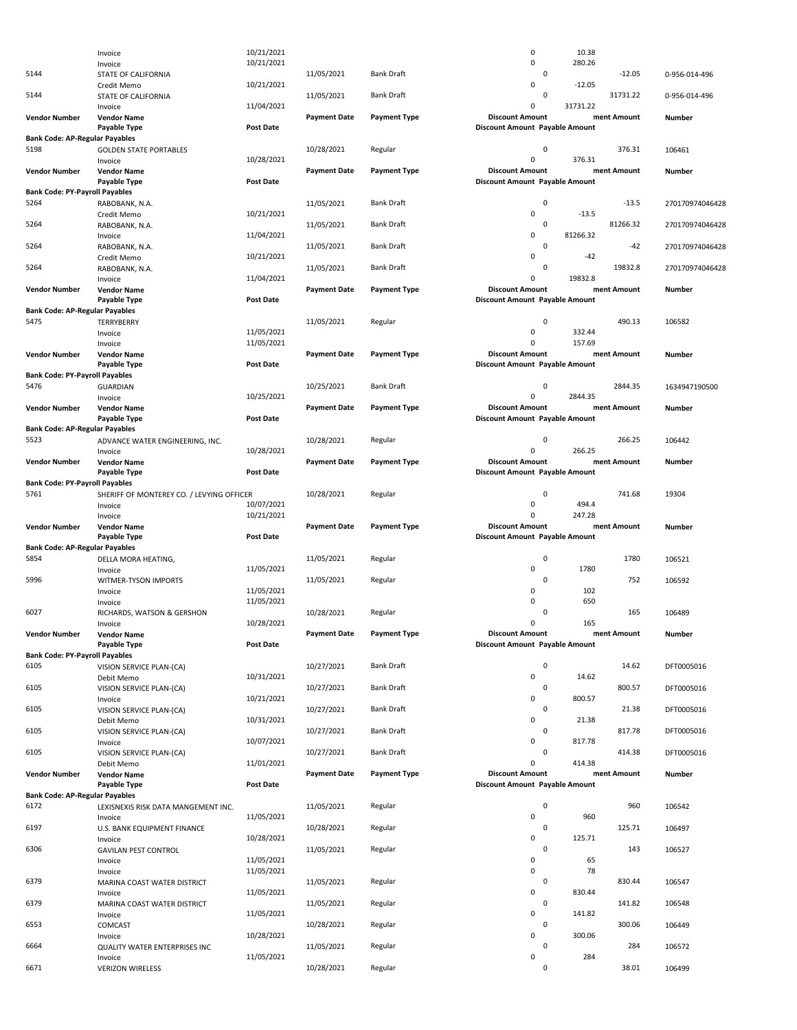|                                               | Invoice                                   | 10/21/2021       |                     |                     | $\mathsf 0$                    | 10.38    |             |                 |
|-----------------------------------------------|-------------------------------------------|------------------|---------------------|---------------------|--------------------------------|----------|-------------|-----------------|
|                                               | Invoice                                   | 10/21/2021       |                     |                     | $\mathsf 0$                    | 280.26   |             |                 |
| 5144                                          | STATE OF CALIFORNIA                       |                  | 11/05/2021          | <b>Bank Draft</b>   | $\mathsf 0$                    |          | $-12.05$    | 0-956-014-496   |
| 5144                                          | Credit Memo<br>STATE OF CALIFORNIA        | 10/21/2021       | 11/05/2021          | <b>Bank Draft</b>   | $\mathbf 0$<br>0               | $-12.05$ | 31731.22    | 0-956-014-496   |
|                                               | Invoice                                   | 11/04/2021       |                     |                     | $\mathbf 0$                    | 31731.22 |             |                 |
| <b>Vendor Number</b>                          | <b>Vendor Name</b>                        |                  | <b>Payment Date</b> | <b>Payment Type</b> | <b>Discount Amount</b>         |          | ment Amount | <b>Number</b>   |
|                                               | Payable Type                              | <b>Post Date</b> |                     |                     | Discount Amount Payable Amount |          |             |                 |
| <b>Bank Code: AP-Regular Payables</b>         |                                           |                  |                     |                     |                                |          |             |                 |
| 5198                                          | <b>GOLDEN STATE PORTABLES</b>             |                  | 10/28/2021          | Regular             | 0                              |          | 376.31      | 106461          |
|                                               | Invoice                                   | 10/28/2021       |                     |                     | $\mathsf 0$                    | 376.31   |             |                 |
| <b>Vendor Number</b>                          | <b>Vendor Name</b>                        |                  | <b>Payment Date</b> | <b>Payment Type</b> | <b>Discount Amount</b>         |          | ment Amount | Number          |
| <b>Bank Code: PY-Payroll Payables</b>         | Payable Type                              | <b>Post Date</b> |                     |                     | Discount Amount Payable Amount |          |             |                 |
| 5264                                          | RABOBANK, N.A.                            |                  | 11/05/2021          | <b>Bank Draft</b>   | 0                              |          | $-13.5$     | 270170974046428 |
|                                               | Credit Memo                               | 10/21/2021       |                     |                     | $\mathsf 0$                    | $-13.5$  |             |                 |
| 5264                                          | RABOBANK, N.A.                            |                  | 11/05/2021          | <b>Bank Draft</b>   | 0                              |          | 81266.32    | 270170974046428 |
|                                               | Invoice                                   | 11/04/2021       |                     |                     | $\mathsf 0$                    | 81266.32 |             |                 |
| 5264                                          | RABOBANK, N.A.                            |                  | 11/05/2021          | <b>Bank Draft</b>   | 0                              |          | $-42$       | 270170974046428 |
|                                               | Credit Memo                               | 10/21/2021       |                     |                     | $\mathsf 0$                    | $-42$    |             |                 |
| 5264                                          | RABOBANK, N.A.                            |                  | 11/05/2021          | <b>Bank Draft</b>   | 0<br>$\mathsf 0$               | 19832.8  | 19832.8     | 270170974046428 |
| <b>Vendor Number</b>                          | Invoice<br><b>Vendor Name</b>             | 11/04/2021       | <b>Payment Date</b> | <b>Payment Type</b> | <b>Discount Amount</b>         |          | ment Amount | Number          |
|                                               | <b>Payable Type</b>                       | Post Date        |                     |                     | Discount Amount Payable Amount |          |             |                 |
| <b>Bank Code: AP-Regular Payables</b>         |                                           |                  |                     |                     |                                |          |             |                 |
| 5475                                          | TERRYBERRY                                |                  | 11/05/2021          | Regular             | 0                              |          | 490.13      | 106582          |
|                                               | Invoice                                   | 11/05/2021       |                     |                     | 0                              | 332.44   |             |                 |
|                                               | Invoice                                   | 11/05/2021       |                     |                     | $\mathbf 0$                    | 157.69   |             |                 |
| <b>Vendor Number</b>                          | <b>Vendor Name</b>                        |                  | <b>Payment Date</b> | <b>Payment Type</b> | <b>Discount Amount</b>         |          | ment Amount | Number          |
|                                               | Payable Type                              | Post Date        |                     |                     | Discount Amount Payable Amount |          |             |                 |
| <b>Bank Code: PY-Payroll Payables</b><br>5476 |                                           |                  |                     | <b>Bank Draft</b>   | 0                              |          | 2844.35     |                 |
|                                               | <b>GUARDIAN</b><br>Invoice                | 10/25/2021       | 10/25/2021          |                     | $\mathbf 0$                    | 2844.35  |             | 1634947190500   |
| <b>Vendor Number</b>                          | <b>Vendor Name</b>                        |                  | <b>Payment Date</b> | <b>Payment Type</b> | <b>Discount Amount</b>         |          | ment Amount | Number          |
|                                               | Payable Type                              | <b>Post Date</b> |                     |                     | Discount Amount Payable Amount |          |             |                 |
| <b>Bank Code: AP-Regular Payables</b>         |                                           |                  |                     |                     |                                |          |             |                 |
| 5523                                          | ADVANCE WATER ENGINEERING, INC.           |                  | 10/28/2021          | Regular             | 0                              |          | 266.25      | 106442          |
|                                               | Invoice                                   | 10/28/2021       |                     |                     | $\mathbf 0$                    | 266.25   |             |                 |
| <b>Vendor Number</b>                          | <b>Vendor Name</b>                        |                  | <b>Payment Date</b> | <b>Payment Type</b> | <b>Discount Amount</b>         |          | ment Amount | Number          |
| <b>Bank Code: PY-Payroll Payables</b>         | Payable Type                              | Post Date        |                     |                     | Discount Amount Payable Amount |          |             |                 |
| 5761                                          | SHERIFF OF MONTEREY CO. / LEVYING OFFICER |                  | 10/28/2021          | Regular             | 0                              |          | 741.68      | 19304           |
|                                               |                                           | 10/07/2021       |                     |                     | $\mathsf 0$                    | 494.4    |             |                 |
|                                               |                                           |                  |                     |                     |                                |          |             |                 |
|                                               | Invoice                                   | 10/21/2021       |                     |                     | $\mathbf 0$                    | 247.28   |             |                 |
| <b>Vendor Number</b>                          | Invoice<br><b>Vendor Name</b>             |                  | <b>Payment Date</b> | <b>Payment Type</b> | <b>Discount Amount</b>         |          | ment Amount | <b>Number</b>   |
|                                               | Payable Type                              | <b>Post Date</b> |                     |                     | Discount Amount Payable Amount |          |             |                 |
| <b>Bank Code: AP-Regular Payables</b>         |                                           |                  |                     |                     |                                |          |             |                 |
| 5854                                          | DELLA MORA HEATING,                       |                  | 11/05/2021          | Regular             | 0                              |          | 1780        | 106521          |
|                                               | Invoice                                   | 11/05/2021       |                     |                     | 0                              | 1780     |             |                 |
| 5996                                          | WITMER-TYSON IMPORTS                      |                  | 11/05/2021          | Regular             | 0                              |          | 752         | 106592          |
|                                               | Invoice                                   | 11/05/2021       |                     |                     | $\mathbf 0$                    | 102      |             |                 |
|                                               | Invoice                                   | 11/05/2021       |                     |                     | $\mathbf 0$<br>0               | 650      | 165         |                 |
| 6027                                          | RICHARDS, WATSON & GERSHON<br>Invoice     | 10/28/2021       | 10/28/2021          | Regular             | $\mathbf 0$                    | 165      |             | 106489          |
| <b>Vendor Number</b>                          | <b>Vendor Name</b>                        |                  | <b>Payment Date</b> | <b>Payment Type</b> | <b>Discount Amount</b>         |          | ment Amount | Number          |
|                                               | Payable Type                              | <b>Post Date</b> |                     |                     | Discount Amount Payable Amount |          |             |                 |
| <b>Bank Code: PY-Payroll Payables</b>         |                                           |                  |                     |                     |                                |          |             |                 |
| 6105                                          | VISION SERVICE PLAN-(CA)                  |                  | 10/27/2021          | <b>Bank Draft</b>   | 0                              |          | 14.62       | DFT0005016      |
|                                               | Debit Memo                                | 10/31/2021       |                     |                     | $\pmb{0}$                      | 14.62    |             |                 |
| 6105                                          | VISION SERVICE PLAN-(CA)                  |                  | 10/27/2021          | <b>Bank Draft</b>   | 0                              |          | 800.57      | DFT0005016      |
|                                               | Invoice                                   | 10/21/2021       |                     | <b>Bank Draft</b>   | $\mathsf 0$<br>$\mathsf 0$     | 800.57   |             |                 |
| 6105                                          | VISION SERVICE PLAN-(CA)                  | 10/31/2021       | 10/27/2021          |                     | $\mathbf 0$                    | 21.38    | 21.38       | DFT0005016      |
| 6105                                          | Debit Memo<br>VISION SERVICE PLAN-(CA)    |                  | 10/27/2021          | <b>Bank Draft</b>   | 0                              |          | 817.78      | DFT0005016      |
|                                               | Invoice                                   | 10/07/2021       |                     |                     | 0                              | 817.78   |             |                 |
| 6105                                          | VISION SERVICE PLAN-(CA)                  |                  | 10/27/2021          | <b>Bank Draft</b>   | $\mathsf 0$                    |          | 414.38      | DFT0005016      |
|                                               | Debit Memo                                | 11/01/2021       |                     |                     | $\mathbf 0$                    | 414.38   |             |                 |
| <b>Vendor Number</b>                          | <b>Vendor Name</b>                        |                  | <b>Payment Date</b> | <b>Payment Type</b> | <b>Discount Amount</b>         |          | ment Amount | <b>Number</b>   |
|                                               | Payable Type                              | Post Date        |                     |                     | Discount Amount Payable Amount |          |             |                 |
| <b>Bank Code: AP-Regular Payables</b>         |                                           |                  |                     |                     |                                |          |             |                 |
| 6172                                          | LEXISNEXIS RISK DATA MANGEMENT INC.       |                  | 11/05/2021          | Regular             | 0                              |          | 960         | 106542          |
| 6197                                          | Invoice<br>U.S. BANK EQUIPMENT FINANCE    | 11/05/2021       | 10/28/2021          | Regular             | $\pmb{0}$<br>0                 | 960      | 125.71      | 106497          |
|                                               | Invoice                                   | 10/28/2021       |                     |                     | $\mathsf 0$                    | 125.71   |             |                 |
| 6306                                          | <b>GAVILAN PEST CONTROL</b>               |                  | 11/05/2021          | Regular             | 0                              |          | 143         | 106527          |
|                                               | Invoice                                   | 11/05/2021       |                     |                     | 0                              | 65       |             |                 |
|                                               | Invoice                                   | 11/05/2021       |                     |                     | 0                              | 78       |             |                 |
| 6379                                          | MARINA COAST WATER DISTRICT               |                  | 11/05/2021          | Regular             | $\mathsf 0$                    |          | 830.44      | 106547          |
|                                               | Invoice                                   | 11/05/2021       |                     |                     | 0                              | 830.44   |             |                 |
| 6379                                          | MARINA COAST WATER DISTRICT               |                  | 11/05/2021          | Regular             | 0                              |          | 141.82      | 106548          |
| 6553                                          | Invoice                                   | 11/05/2021       |                     | Regular             | $\mathsf 0$<br>$\mathsf 0$     | 141.82   | 300.06      |                 |
|                                               | COMCAST<br>Invoice                        | 10/28/2021       | 10/28/2021          |                     | $\mathbf 0$                    | 300.06   |             | 106449          |
| 6664                                          | QUALITY WATER ENTERPRISES INC             |                  | 11/05/2021          | Regular             | 0                              |          | 284         | 106572          |
| 6671                                          | Invoice<br><b>VERIZON WIRELESS</b>        | 11/05/2021       | 10/28/2021          | Regular             | $\mathbf 0$<br>0               | 284      | 38.01       | 106499          |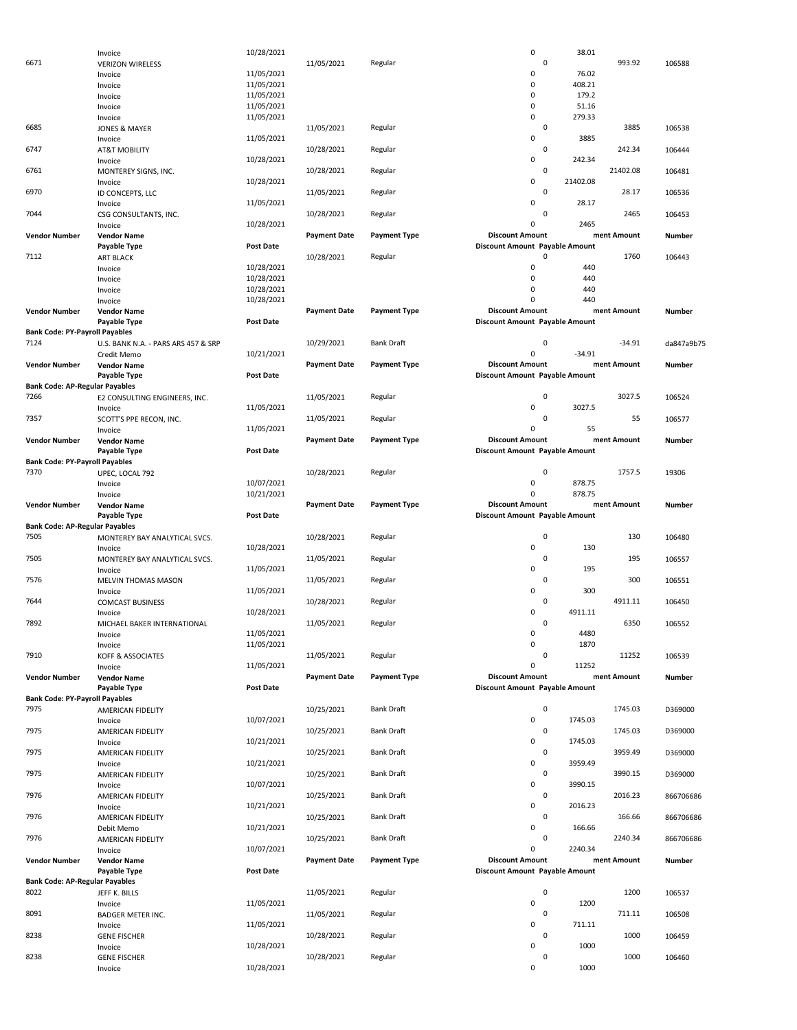|                                       | Invoice                             | 10/28/2021       |                     |                     | $\mathsf 0$                    | 38.01       |             |            |
|---------------------------------------|-------------------------------------|------------------|---------------------|---------------------|--------------------------------|-------------|-------------|------------|
|                                       |                                     |                  |                     |                     |                                |             |             |            |
| 6671                                  | <b>VERIZON WIRELESS</b>             |                  | 11/05/2021          | Regular             |                                | 0           | 993.92      | 106588     |
|                                       | Invoice                             | 11/05/2021       |                     |                     | 0                              | 76.02       |             |            |
|                                       | Invoice                             | 11/05/2021       |                     |                     | 0                              | 408.21      |             |            |
|                                       | Invoice                             | 11/05/2021       |                     |                     | $\mathbf 0$                    | 179.2       |             |            |
|                                       |                                     |                  |                     |                     |                                |             |             |            |
|                                       | Invoice                             | 11/05/2021       |                     |                     | 0                              | 51.16       |             |            |
|                                       | Invoice                             | 11/05/2021       |                     |                     | 0                              | 279.33      |             |            |
| 6685                                  | <b>JONES &amp; MAYER</b>            |                  | 11/05/2021          | Regular             |                                | 0           | 3885        | 106538     |
|                                       | Invoice                             | 11/05/2021       |                     |                     | 0                              | 3885        |             |            |
|                                       |                                     |                  |                     |                     |                                |             |             |            |
| 6747                                  | <b>AT&amp;T MOBILITY</b>            |                  | 10/28/2021          | Regular             |                                | 0           | 242.34      | 106444     |
|                                       | Invoice                             | 10/28/2021       |                     |                     | 0                              | 242.34      |             |            |
| 6761                                  | MONTEREY SIGNS, INC.                |                  | 10/28/2021          | Regular             |                                | 0           | 21402.08    | 106481     |
|                                       |                                     |                  |                     |                     |                                |             |             |            |
|                                       | Invoice                             | 10/28/2021       |                     |                     | 0                              | 21402.08    |             |            |
| 6970                                  | ID CONCEPTS, LLC                    |                  | 11/05/2021          | Regular             |                                | $\mathbf 0$ | 28.17       | 106536     |
|                                       | Invoice                             | 11/05/2021       |                     |                     | 0                              | 28.17       |             |            |
| 7044                                  |                                     |                  |                     | Regular             |                                | $\mathbf 0$ | 2465        | 106453     |
|                                       | CSG CONSULTANTS, INC.               |                  | 10/28/2021          |                     |                                |             |             |            |
|                                       | Invoice                             | 10/28/2021       |                     |                     | 0                              | 2465        |             |            |
| <b>Vendor Number</b>                  | <b>Vendor Name</b>                  |                  | <b>Payment Date</b> | <b>Payment Type</b> | <b>Discount Amount</b>         |             | ment Amount | Number     |
|                                       | Payable Type                        | <b>Post Date</b> |                     |                     | Discount Amount Payable Amount |             |             |            |
|                                       |                                     |                  |                     |                     |                                | 0           |             |            |
| 7112                                  | <b>ART BLACK</b>                    |                  | 10/28/2021          | Regular             |                                |             | 1760        | 106443     |
|                                       | Invoice                             | 10/28/2021       |                     |                     | 0                              | 440         |             |            |
|                                       | Invoice                             | 10/28/2021       |                     |                     | 0                              | 440         |             |            |
|                                       |                                     | 10/28/2021       |                     |                     | 0                              | 440         |             |            |
|                                       | Invoice                             |                  |                     |                     |                                |             |             |            |
|                                       | Invoice                             | 10/28/2021       |                     |                     | O                              | 440         |             |            |
| <b>Vendor Number</b>                  | <b>Vendor Name</b>                  |                  | <b>Payment Date</b> | <b>Payment Type</b> | <b>Discount Amount</b>         |             | ment Amount | Number     |
|                                       | Payable Type                        | <b>Post Date</b> |                     |                     | Discount Amount Payable Amount |             |             |            |
|                                       |                                     |                  |                     |                     |                                |             |             |            |
| <b>Bank Code: PY-Payroll Payables</b> |                                     |                  |                     |                     |                                |             |             |            |
| 7124                                  | U.S. BANK N.A. - PARS ARS 457 & SRP |                  | 10/29/2021          | Bank Draft          |                                | $\mathbf 0$ | $-34.91$    | da847a9b75 |
|                                       | Credit Memo                         | 10/21/2021       |                     |                     | $\mathbf 0$                    | $-34.91$    |             |            |
|                                       |                                     |                  |                     |                     |                                |             |             |            |
| <b>Vendor Number</b>                  | <b>Vendor Name</b>                  |                  | <b>Payment Date</b> | <b>Payment Type</b> | <b>Discount Amount</b>         |             | ment Amount | Number     |
|                                       | Payable Type                        | <b>Post Date</b> |                     |                     | Discount Amount Payable Amount |             |             |            |
| <b>Bank Code: AP-Regular Payables</b> |                                     |                  |                     |                     |                                |             |             |            |
|                                       |                                     |                  |                     |                     |                                |             |             |            |
| 7266                                  | E2 CONSULTING ENGINEERS, INC.       |                  | 11/05/2021          | Regular             |                                | $\mathbf 0$ | 3027.5      | 106524     |
|                                       | Invoice                             | 11/05/2021       |                     |                     | 0                              | 3027.5      |             |            |
| 7357                                  | SCOTT'S PPE RECON, INC.             |                  | 11/05/2021          | Regular             |                                | 0           | 55          | 106577     |
|                                       |                                     |                  |                     |                     | 0                              | 55          |             |            |
|                                       | Invoice                             | 11/05/2021       |                     |                     |                                |             |             |            |
| <b>Vendor Number</b>                  | <b>Vendor Name</b>                  |                  | <b>Payment Date</b> | <b>Payment Type</b> | <b>Discount Amount</b>         |             | ment Amount | Number     |
|                                       | Payable Type                        | <b>Post Date</b> |                     |                     | Discount Amount Payable Amount |             |             |            |
| <b>Bank Code: PY-Payroll Payables</b> |                                     |                  |                     |                     |                                |             |             |            |
|                                       |                                     |                  |                     |                     |                                |             |             |            |
| 7370                                  | UPEC, LOCAL 792                     |                  | 10/28/2021          | Regular             |                                | 0           | 1757.5      | 19306      |
|                                       | Invoice                             | 10/07/2021       |                     |                     | $\mathbf 0$                    | 878.75      |             |            |
|                                       | Invoice                             | 10/21/2021       |                     |                     | $\mathbf 0$                    | 878.75      |             |            |
|                                       |                                     |                  |                     |                     |                                |             |             |            |
| <b>Vendor Number</b>                  | <b>Vendor Name</b>                  |                  | <b>Payment Date</b> | <b>Payment Type</b> | <b>Discount Amount</b>         |             | ment Amount | Number     |
|                                       |                                     |                  |                     |                     |                                |             |             |            |
|                                       |                                     | <b>Post Date</b> |                     |                     | Discount Amount Payable Amount |             |             |            |
|                                       | Payable Type                        |                  |                     |                     |                                |             |             |            |
| <b>Bank Code: AP-Regular Payables</b> |                                     |                  |                     |                     |                                |             |             |            |
| 7505                                  | MONTEREY BAY ANALYTICAL SVCS.       |                  | 10/28/2021          | Regular             |                                | 0           | 130         | 106480     |
|                                       | Invoice                             | 10/28/2021       |                     |                     | 0                              | 130         |             |            |
|                                       |                                     |                  |                     |                     |                                |             |             |            |
| 7505                                  | MONTEREY BAY ANALYTICAL SVCS.       |                  | 11/05/2021          | Regular             |                                | 0           | 195         | 106557     |
|                                       | Invoice                             | 11/05/2021       |                     |                     | 0                              | 195         |             |            |
| 7576                                  | MELVIN THOMAS MASON                 |                  | 11/05/2021          | Regular             |                                | 0           | 300         | 106551     |
|                                       |                                     |                  |                     |                     |                                |             |             |            |
|                                       | Invoice                             | 11/05/2021       |                     |                     | 0                              | 300         |             |            |
| 7644                                  | <b>COMCAST BUSINESS</b>             |                  | 10/28/2021          | Regular             |                                | 0           | 4911.11     | 106450     |
|                                       | Invoice                             | 10/28/2021       |                     |                     | 0                              | 4911.11     |             |            |
| 7892                                  |                                     |                  |                     |                     |                                | 0           | 6350        |            |
|                                       | MICHAEL BAKER INTERNATIONAL         |                  | 11/05/2021          | Regular             |                                |             |             | 106552     |
|                                       | Invoice                             | 11/05/2021       |                     |                     | U                              | 4480        |             |            |
|                                       | Invoice                             | 11/05/2021       |                     |                     | $\mathsf 0$                    | 1870        |             |            |
|                                       |                                     |                  |                     |                     |                                | $\mathbf 0$ |             |            |
| 7910                                  | KOFF & ASSOCIATES                   |                  | 11/05/2021          | Regular             |                                |             | 11252       | 106539     |
|                                       | Invoice                             | 11/05/2021       |                     |                     | 0                              | 11252       |             |            |
| <b>Vendor Number</b>                  | <b>Vendor Name</b>                  |                  | <b>Payment Date</b> | <b>Payment Type</b> | <b>Discount Amount</b>         |             | ment Amount | Number     |
|                                       | Payable Type                        | <b>Post Date</b> |                     |                     | Discount Amount Payable Amount |             |             |            |
|                                       |                                     |                  |                     |                     |                                |             |             |            |
| <b>Bank Code: PY-Payroll Payables</b> |                                     |                  |                     |                     |                                |             |             |            |
| 7975                                  | AMERICAN FIDELITY                   |                  | 10/25/2021          | <b>Bank Draft</b>   |                                | 0           | 1745.03     | D369000    |
|                                       | Invoice                             | 10/07/2021       |                     |                     | $\mathbf 0$                    | 1745.03     |             |            |
|                                       |                                     |                  |                     |                     |                                |             |             |            |
| 7975                                  | AMERICAN FIDELITY                   |                  | 10/25/2021          | <b>Bank Draft</b>   |                                | 0           | 1745.03     | D369000    |
|                                       | Invoice                             | 10/21/2021       |                     |                     | $\mathsf 0$                    | 1745.03     |             |            |
| 7975                                  | AMERICAN FIDELITY                   |                  | 10/25/2021          | <b>Bank Draft</b>   |                                | 0           | 3959.49     | D369000    |
|                                       |                                     |                  |                     |                     |                                |             |             |            |
|                                       | Invoice                             | 10/21/2021       |                     |                     | $\mathsf 0$                    | 3959.49     |             |            |
| 7975                                  | AMERICAN FIDELITY                   |                  | 10/25/2021          | <b>Bank Draft</b>   |                                | 0           | 3990.15     | D369000    |
|                                       | Invoice                             | 10/07/2021       |                     |                     | $\mathsf 0$                    | 3990.15     |             |            |
| 7976                                  | AMERICAN FIDELITY                   |                  | 10/25/2021          | <b>Bank Draft</b>   |                                | 0           | 2016.23     | 866706686  |
|                                       |                                     |                  |                     |                     |                                |             |             |            |
|                                       | Invoice                             | 10/21/2021       |                     |                     | 0                              | 2016.23     |             |            |
| 7976                                  | AMERICAN FIDELITY                   |                  | 10/25/2021          | <b>Bank Draft</b>   |                                | $\pmb{0}$   | 166.66      | 866706686  |
|                                       | Debit Memo                          | 10/21/2021       |                     |                     | 0                              | 166.66      |             |            |
|                                       |                                     |                  |                     |                     |                                |             |             |            |
| 7976                                  | AMERICAN FIDELITY                   |                  | 10/25/2021          | <b>Bank Draft</b>   |                                | 0           | 2240.34     | 866706686  |
|                                       | Invoice                             | 10/07/2021       |                     |                     | $\mathbf 0$                    | 2240.34     |             |            |
| <b>Vendor Number</b>                  | <b>Vendor Name</b>                  |                  | <b>Payment Date</b> | <b>Payment Type</b> | <b>Discount Amount</b>         |             | ment Amount | Number     |
|                                       |                                     |                  |                     |                     |                                |             |             |            |
|                                       | Payable Type                        | <b>Post Date</b> |                     |                     | Discount Amount Payable Amount |             |             |            |
| <b>Bank Code: AP-Regular Payables</b> |                                     |                  |                     |                     |                                |             |             |            |
| 8022                                  | JEFF K. BILLS                       |                  | 11/05/2021          | Regular             |                                | $\mathbf 0$ | 1200        | 106537     |
|                                       |                                     |                  |                     |                     | $\mathsf 0$                    | 1200        |             |            |
|                                       | Invoice                             | 11/05/2021       |                     |                     |                                |             |             |            |
| 8091                                  | <b>BADGER METER INC.</b>            |                  | 11/05/2021          | Regular             |                                | 0           | 711.11      | 106508     |
|                                       | Invoice                             | 11/05/2021       |                     |                     | $\mathsf 0$                    | 711.11      |             |            |
| 8238                                  | <b>GENE FISCHER</b>                 |                  | 10/28/2021          | Regular             |                                | 0           | 1000        | 106459     |
|                                       |                                     |                  |                     |                     |                                |             |             |            |
|                                       | Invoice                             | 10/28/2021       |                     |                     | 0                              | 1000        |             |            |
| 8238                                  | <b>GENE FISCHER</b><br>Invoice      | 10/28/2021       | 10/28/2021          | Regular             | $\mathbf 0$                    | 0<br>1000   | 1000        | 106460     |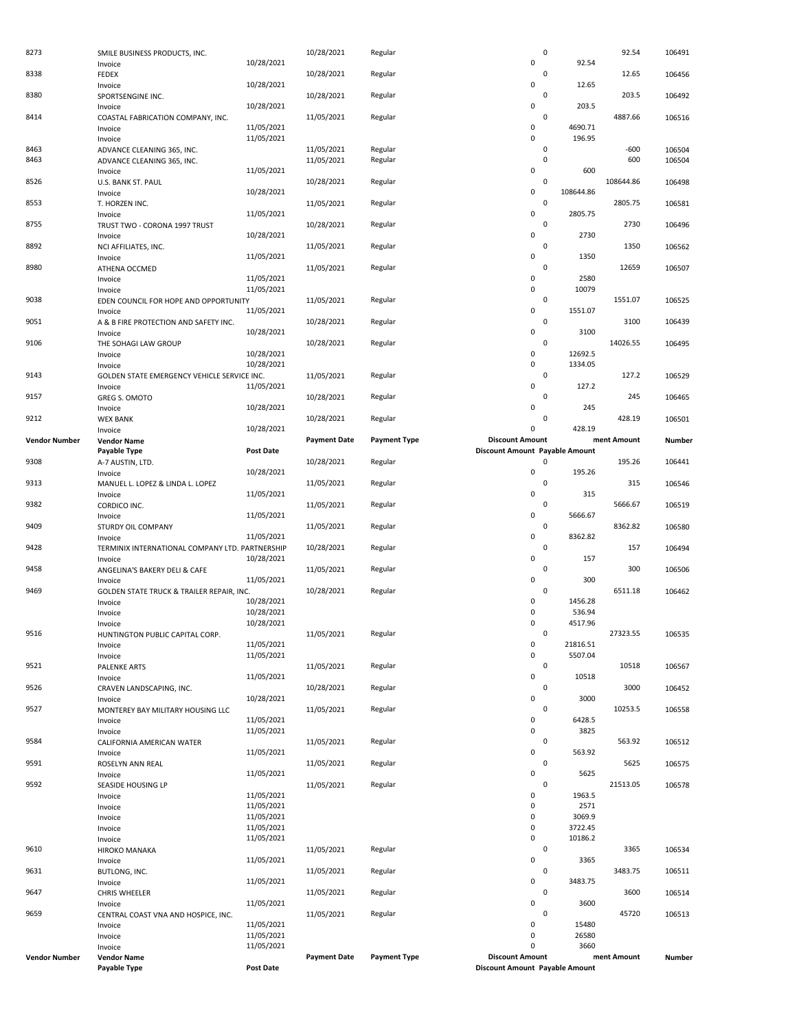| 8273                 | SMILE BUSINESS PRODUCTS, INC.                          |                          | 10/28/2021          | Regular             |                                    | 0                      | 92.54       | 106491 |
|----------------------|--------------------------------------------------------|--------------------------|---------------------|---------------------|------------------------------------|------------------------|-------------|--------|
|                      | Invoice                                                | 10/28/2021               |                     |                     | 0                                  | 92.54                  |             |        |
| 8338                 | <b>FEDEX</b>                                           |                          | 10/28/2021          | Regular             |                                    | 0                      | 12.65       | 106456 |
|                      | Invoice                                                | 10/28/2021               |                     |                     | 0                                  | 12.65                  |             |        |
| 8380                 | SPORTSENGINE INC.                                      |                          | 10/28/2021          | Regular             |                                    | 0                      | 203.5       | 106492 |
|                      | Invoice                                                | 10/28/2021               |                     |                     | 0                                  | 203.5<br>$\mathbf 0$   |             |        |
| 8414                 | COASTAL FABRICATION COMPANY, INC.                      | 11/05/2021               | 11/05/2021          | Regular             | 0                                  | 4690.71                | 4887.66     | 106516 |
|                      | Invoice<br>Invoice                                     | 11/05/2021               |                     |                     | 0                                  | 196.95                 |             |        |
| 8463                 | ADVANCE CLEANING 365, INC.                             |                          | 11/05/2021          | Regular             |                                    | $\mathbf 0$            | $-600$      | 106504 |
| 8463                 | ADVANCE CLEANING 365, INC.                             |                          | 11/05/2021          | Regular             |                                    | $\mathbf 0$            | 600         | 106504 |
|                      | Invoice                                                | 11/05/2021               |                     |                     | 0                                  | 600                    |             |        |
| 8526                 | U.S. BANK ST. PAUL                                     |                          | 10/28/2021          | Regular             |                                    | $\mathbf 0$            | 108644.86   | 106498 |
|                      | Invoice                                                | 10/28/2021               |                     |                     | 0                                  | 108644.86              |             |        |
| 8553                 | T. HORZEN INC.                                         |                          | 11/05/2021          | Regular             |                                    | $\mathsf 0$            | 2805.75     | 106581 |
|                      | Invoice                                                | 11/05/2021               |                     |                     | 0                                  | 2805.75                |             |        |
| 8755                 | TRUST TWO - CORONA 1997 TRUST                          |                          | 10/28/2021          | Regular             |                                    | $\mathsf 0$            | 2730        | 106496 |
|                      | Invoice                                                | 10/28/2021               |                     |                     | 0                                  | 2730<br>$\mathsf 0$    |             |        |
| 8892                 | NCI AFFILIATES, INC.                                   | 11/05/2021               | 11/05/2021          | Regular             | 0                                  | 1350                   | 1350        | 106562 |
| 8980                 | Invoice<br>ATHENA OCCMED                               |                          | 11/05/2021          | Regular             |                                    | $\mathbf 0$            | 12659       | 106507 |
|                      | Invoice                                                | 11/05/2021               |                     |                     | 0                                  | 2580                   |             |        |
|                      | Invoice                                                | 11/05/2021               |                     |                     | 0                                  | 10079                  |             |        |
| 9038                 | EDEN COUNCIL FOR HOPE AND OPPORTUNITY                  |                          | 11/05/2021          | Regular             |                                    | $\mathbf 0$            | 1551.07     | 106525 |
|                      | Invoice                                                | 11/05/2021               |                     |                     | 0                                  | 1551.07                |             |        |
| 9051                 | A & B FIRE PROTECTION AND SAFETY INC.                  |                          | 10/28/2021          | Regular             |                                    | $\mathbf 0$            | 3100        | 106439 |
|                      | Invoice                                                | 10/28/2021               |                     |                     | 0                                  | 3100                   |             |        |
| 9106                 | THE SOHAGI LAW GROUP                                   |                          | 10/28/2021          | Regular             |                                    | $\mathbf 0$            | 14026.55    | 106495 |
|                      | Invoice                                                | 10/28/2021<br>10/28/2021 |                     |                     | 0<br>0                             | 12692.5<br>1334.05     |             |        |
| 9143                 | Invoice<br>GOLDEN STATE EMERGENCY VEHICLE SERVICE INC. |                          | 11/05/2021          | Regular             |                                    | $\mathsf 0$            | 127.2       | 106529 |
|                      | Invoice                                                | 11/05/2021               |                     |                     | 0                                  | 127.2                  |             |        |
| 9157                 | GREG S. OMOTO                                          |                          | 10/28/2021          | Regular             |                                    | $\mathsf 0$            | 245         | 106465 |
|                      | Invoice                                                | 10/28/2021               |                     |                     | 0                                  | 245                    |             |        |
| 9212                 | <b>WEX BANK</b>                                        |                          | 10/28/2021          | Regular             |                                    | $\mathbf 0$            | 428.19      | 106501 |
|                      | Invoice                                                | 10/28/2021               |                     |                     | 0                                  | 428.19                 |             |        |
| <b>Vendor Number</b> | <b>Vendor Name</b>                                     |                          | <b>Payment Date</b> | <b>Payment Type</b> | <b>Discount Amount</b>             |                        | ment Amount | Number |
| 9308                 | Payable Type                                           | <b>Post Date</b>         | 10/28/2021          | Regular             | Discount Amount Payable Amount     | 0                      | 195.26      | 106441 |
|                      | A-7 AUSTIN, LTD.<br>Invoice                            | 10/28/2021               |                     |                     | 0                                  | 195.26                 |             |        |
| 9313                 | MANUEL L. LOPEZ & LINDA L. LOPEZ                       |                          | 11/05/2021          | Regular             |                                    | 0                      | 315         | 106546 |
|                      | Invoice                                                | 11/05/2021               |                     |                     | 0                                  | 315                    |             |        |
| 9382                 | CORDICO INC.                                           |                          | 11/05/2021          | Regular             |                                    | 0                      | 5666.67     | 106519 |
|                      |                                                        |                          |                     |                     |                                    |                        |             |        |
|                      | Invoice                                                | 11/05/2021               |                     |                     | 0                                  | 5666.67                |             |        |
| 9409                 | STURDY OIL COMPANY                                     |                          | 11/05/2021          | Regular             |                                    | $\mathsf 0$            | 8362.82     | 106580 |
|                      | Invoice                                                | 11/05/2021               |                     |                     | 0                                  | 8362.82                |             |        |
| 9428                 | TERMINIX INTERNATIONAL COMPANY LTD. PARTNERSHIP        |                          | 10/28/2021          | Regular             |                                    | 0                      | 157         | 106494 |
|                      | Invoice                                                | 10/28/2021               |                     |                     | 0                                  | 157<br>0               |             |        |
| 9458                 | ANGELINA'S BAKERY DELI & CAFE<br>Invoice               | 11/05/2021               | 11/05/2021          | Regular             | 0                                  | 300                    | 300         | 106506 |
| 9469                 | GOLDEN STATE TRUCK & TRAILER REPAIR, INC.              |                          | 10/28/2021          | Regular             |                                    | 0                      | 6511.18     | 106462 |
|                      | Invoice                                                | 10/28/2021               |                     |                     | 0                                  | 1456.28                |             |        |
|                      | Invoice                                                | 10/28/2021               |                     |                     | 0                                  | 536.94                 |             |        |
|                      | Invoice                                                | 10/28/2021               |                     |                     | 0                                  | 4517.96                |             |        |
| 9516                 | HUNTINGTON PUBLIC CAPITAL CORP.                        |                          | 11/05/2021          | Regular             |                                    | 0                      | 27323.55    | 106535 |
|                      | Invoice                                                | 11/05/2021               |                     |                     | 0                                  | 21816.51               |             |        |
|                      | Invoice                                                | 11/05/2021               |                     |                     | 0                                  | 5507.04                |             |        |
| 9521                 | <b>PALENKE ARTS</b>                                    |                          | 11/05/2021          | Regular             |                                    | $\mathsf 0$            | 10518       | 106567 |
|                      | Invoice                                                | 11/05/2021               |                     |                     | 0                                  | 10518<br>0             |             |        |
| 9526                 | CRAVEN LANDSCAPING, INC.<br>Invoice                    | 10/28/2021               | 10/28/2021          | Regular             | 0                                  | 3000                   | 3000        | 106452 |
| 9527                 | MONTEREY BAY MILITARY HOUSING LLC                      |                          | 11/05/2021          | Regular             |                                    | $\mathsf 0$            | 10253.5     | 106558 |
|                      | Invoice                                                | 11/05/2021               |                     |                     | 0                                  | 6428.5                 |             |        |
|                      | Invoice                                                | 11/05/2021               |                     |                     | 0                                  | 3825                   |             |        |
| 9584                 | CALIFORNIA AMERICAN WATER                              |                          | 11/05/2021          | Regular             |                                    | 0                      | 563.92      | 106512 |
|                      | Invoice                                                | 11/05/2021               |                     |                     | 0                                  | 563.92                 |             |        |
| 9591                 | ROSELYN ANN REAL                                       |                          | 11/05/2021          | Regular             |                                    | 0                      | 5625        | 106575 |
|                      | Invoice                                                | 11/05/2021               |                     |                     | 0                                  | 5625<br>$\mathsf 0$    |             |        |
| 9592                 | SEASIDE HOUSING LP                                     | 11/05/2021               | 11/05/2021          | Regular             | 0                                  | 1963.5                 | 21513.05    | 106578 |
|                      | Invoice<br>Invoice                                     | 11/05/2021               |                     |                     | 0                                  | 2571                   |             |        |
|                      | Invoice                                                | 11/05/2021               |                     |                     | 0                                  | 3069.9                 |             |        |
|                      | Invoice                                                | 11/05/2021               |                     |                     | 0                                  | 3722.45                |             |        |
|                      | Invoice                                                | 11/05/2021               |                     |                     | 0                                  | 10186.2                |             |        |
| 9610                 | <b>HIROKO MANAKA</b>                                   |                          | 11/05/2021          | Regular             |                                    | $\mathsf 0$            | 3365        | 106534 |
|                      | Invoice                                                | 11/05/2021               |                     |                     | 0                                  | 3365                   |             |        |
| 9631                 | BUTLONG, INC.                                          | 11/05/2021               | 11/05/2021          | Regular             | 0                                  | $\mathsf 0$<br>3483.75 | 3483.75     | 106511 |
| 9647                 | Invoice<br><b>CHRIS WHEELER</b>                        |                          | 11/05/2021          | Regular             |                                    | $\pmb{0}$              | 3600        | 106514 |
|                      | Invoice                                                | 11/05/2021               |                     |                     | 0                                  | 3600                   |             |        |
| 9659                 | CENTRAL COAST VNA AND HOSPICE, INC.                    |                          | 11/05/2021          | Regular             |                                    | $\mathsf 0$            | 45720       | 106513 |
|                      | Invoice                                                | 11/05/2021               |                     |                     | 0                                  | 15480                  |             |        |
|                      | Invoice                                                | 11/05/2021               |                     |                     | 0                                  | 26580                  |             |        |
| <b>Vendor Number</b> | Invoice<br><b>Vendor Name</b>                          | 11/05/2021               | <b>Payment Date</b> | <b>Payment Type</b> | $\Omega$<br><b>Discount Amount</b> | 3660                   | ment Amount | Number |